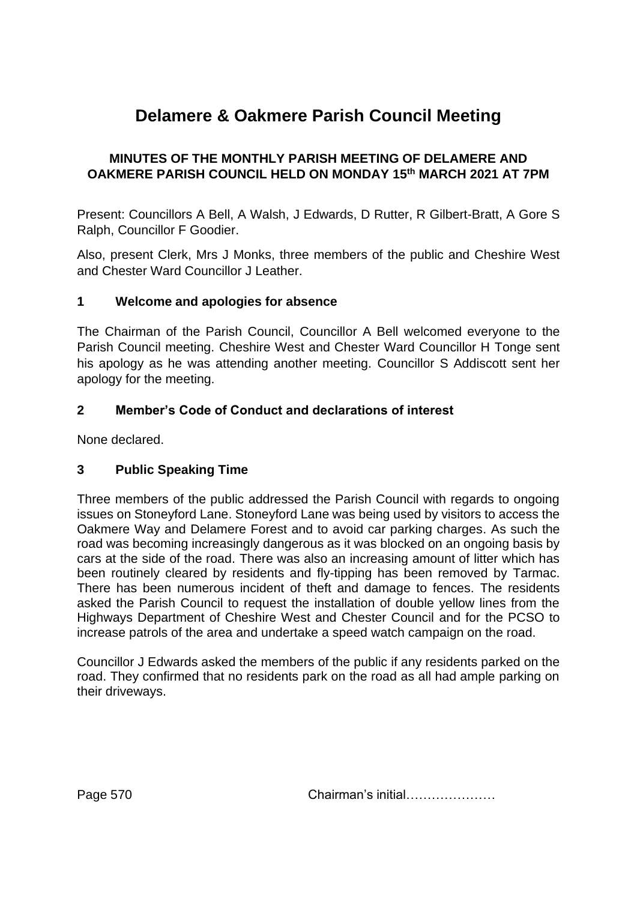# **Delamere & Oakmere Parish Council Meeting**

## **MINUTES OF THE MONTHLY PARISH MEETING OF DELAMERE AND OAKMERE PARISH COUNCIL HELD ON MONDAY 15th MARCH 2021 AT 7PM**

Present: Councillors A Bell, A Walsh, J Edwards, D Rutter, R Gilbert-Bratt, A Gore S Ralph, Councillor F Goodier.

Also, present Clerk, Mrs J Monks, three members of the public and Cheshire West and Chester Ward Councillor J Leather.

#### **1 Welcome and apologies for absence**

The Chairman of the Parish Council, Councillor A Bell welcomed everyone to the Parish Council meeting. Cheshire West and Chester Ward Councillor H Tonge sent his apology as he was attending another meeting. Councillor S Addiscott sent her apology for the meeting.

## **2 Member's Code of Conduct and declarations of interest**

None declared.

#### **3 Public Speaking Time**

Three members of the public addressed the Parish Council with regards to ongoing issues on Stoneyford Lane. Stoneyford Lane was being used by visitors to access the Oakmere Way and Delamere Forest and to avoid car parking charges. As such the road was becoming increasingly dangerous as it was blocked on an ongoing basis by cars at the side of the road. There was also an increasing amount of litter which has been routinely cleared by residents and fly-tipping has been removed by Tarmac. There has been numerous incident of theft and damage to fences. The residents asked the Parish Council to request the installation of double yellow lines from the Highways Department of Cheshire West and Chester Council and for the PCSO to increase patrols of the area and undertake a speed watch campaign on the road.

Councillor J Edwards asked the members of the public if any residents parked on the road. They confirmed that no residents park on the road as all had ample parking on their driveways.

Page 570 **Chairman's initial………………**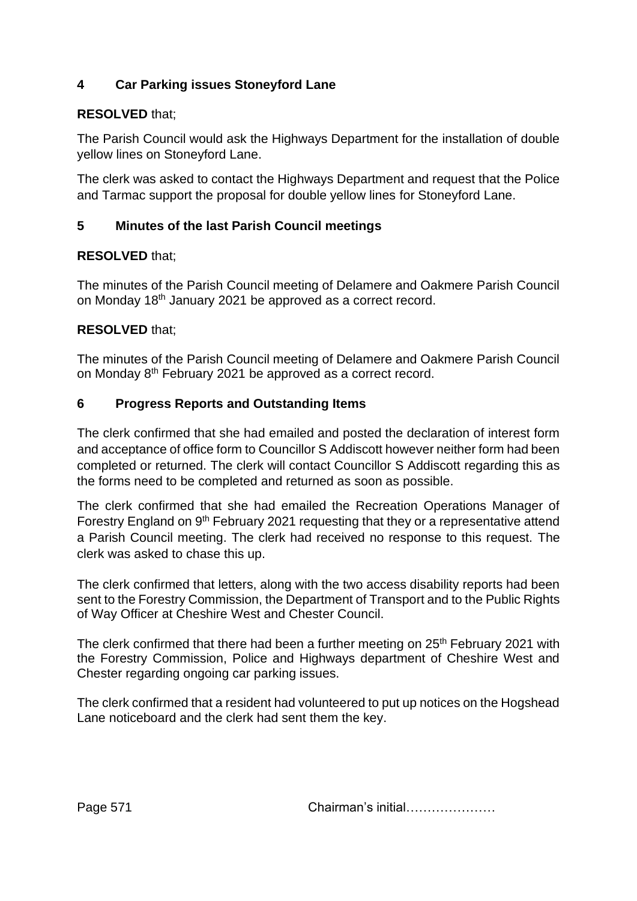# **4 Car Parking issues Stoneyford Lane**

#### **RESOLVED** that;

The Parish Council would ask the Highways Department for the installation of double yellow lines on Stoneyford Lane.

The clerk was asked to contact the Highways Department and request that the Police and Tarmac support the proposal for double yellow lines for Stoneyford Lane.

#### **5 Minutes of the last Parish Council meetings**

## **RESOLVED** that;

The minutes of the Parish Council meeting of Delamere and Oakmere Parish Council on Monday 18th January 2021 be approved as a correct record.

## **RESOLVED** that;

The minutes of the Parish Council meeting of Delamere and Oakmere Parish Council on Monday 8<sup>th</sup> February 2021 be approved as a correct record.

#### **6 Progress Reports and Outstanding Items**

The clerk confirmed that she had emailed and posted the declaration of interest form and acceptance of office form to Councillor S Addiscott however neither form had been completed or returned. The clerk will contact Councillor S Addiscott regarding this as the forms need to be completed and returned as soon as possible.

The clerk confirmed that she had emailed the Recreation Operations Manager of Forestry England on 9th February 2021 requesting that they or a representative attend a Parish Council meeting. The clerk had received no response to this request. The clerk was asked to chase this up.

The clerk confirmed that letters, along with the two access disability reports had been sent to the Forestry Commission, the Department of Transport and to the Public Rights of Way Officer at Cheshire West and Chester Council.

The clerk confirmed that there had been a further meeting on 25<sup>th</sup> February 2021 with the Forestry Commission, Police and Highways department of Cheshire West and Chester regarding ongoing car parking issues.

The clerk confirmed that a resident had volunteered to put up notices on the Hogshead Lane noticeboard and the clerk had sent them the key.

Page 571 **Chairman's initial………………**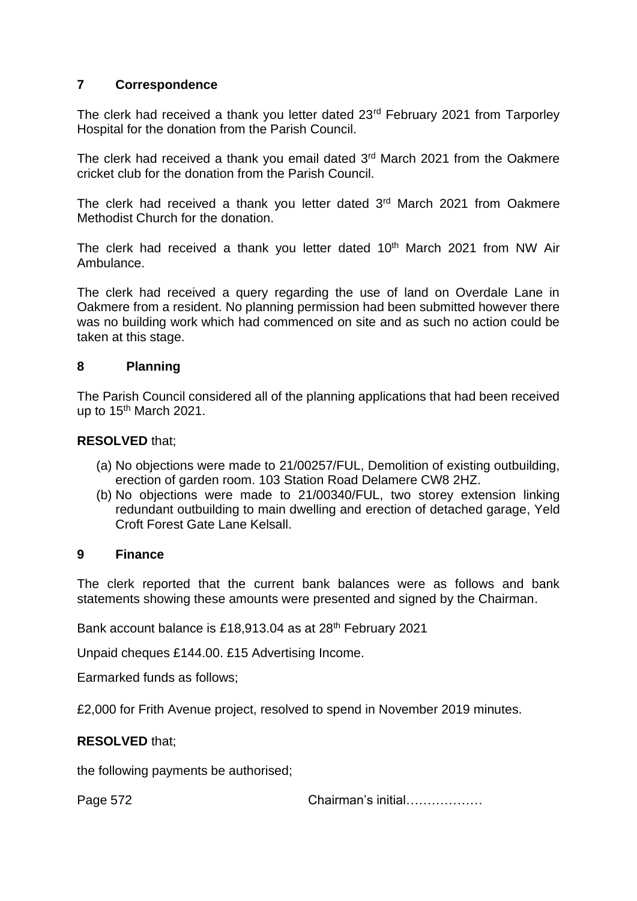#### **7 Correspondence**

The clerk had received a thank you letter dated 23<sup>rd</sup> February 2021 from Tarporley Hospital for the donation from the Parish Council.

The clerk had received a thank you email dated 3<sup>rd</sup> March 2021 from the Oakmere cricket club for the donation from the Parish Council.

The clerk had received a thank you letter dated 3<sup>rd</sup> March 2021 from Oakmere Methodist Church for the donation.

The clerk had received a thank you letter dated 10<sup>th</sup> March 2021 from NW Air Ambulance.

The clerk had received a query regarding the use of land on Overdale Lane in Oakmere from a resident. No planning permission had been submitted however there was no building work which had commenced on site and as such no action could be taken at this stage.

#### **8 Planning**

The Parish Council considered all of the planning applications that had been received up to 15<sup>th</sup> March 2021.

#### **RESOLVED** that;

- (a) No objections were made to 21/00257/FUL, Demolition of existing outbuilding, erection of garden room. 103 Station Road Delamere CW8 2HZ.
- (b) No objections were made to 21/00340/FUL, two storey extension linking redundant outbuilding to main dwelling and erection of detached garage, Yeld Croft Forest Gate Lane Kelsall.

#### **9 Finance**

The clerk reported that the current bank balances were as follows and bank statements showing these amounts were presented and signed by the Chairman.

Bank account balance is £18,913.04 as at 28<sup>th</sup> February 2021

Unpaid cheques £144.00. £15 Advertising Income.

Earmarked funds as follows;

£2,000 for Frith Avenue project, resolved to spend in November 2019 minutes.

#### **RESOLVED** that;

the following payments be authorised;

Page 572 Chairman's initial………………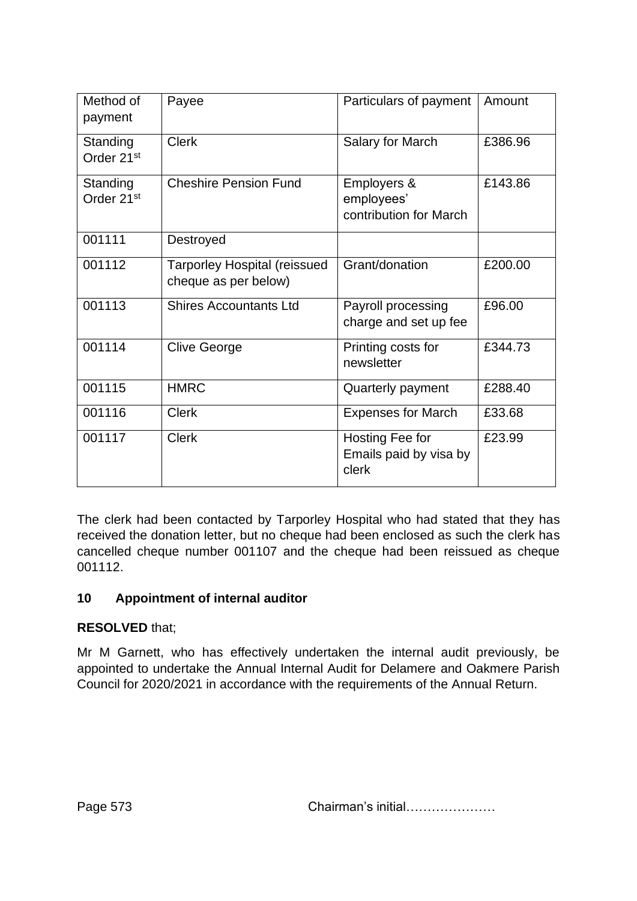| Method of<br>payment               | Payee                                                       | Particulars of payment                              | Amount  |
|------------------------------------|-------------------------------------------------------------|-----------------------------------------------------|---------|
| Standing<br>Order 21 <sup>st</sup> | <b>Clerk</b>                                                | Salary for March                                    | £386.96 |
| Standing<br>Order 21 <sup>st</sup> | <b>Cheshire Pension Fund</b>                                | Employers &<br>employees'<br>contribution for March | £143.86 |
| 001111                             | Destroyed                                                   |                                                     |         |
| 001112                             | <b>Tarporley Hospital (reissued</b><br>cheque as per below) | Grant/donation                                      | £200.00 |
| 001113                             | <b>Shires Accountants Ltd</b>                               | Payroll processing<br>charge and set up fee         | £96.00  |
| 001114                             | <b>Clive George</b>                                         | Printing costs for<br>newsletter                    | £344.73 |
| 001115                             | <b>HMRC</b>                                                 | Quarterly payment                                   | £288.40 |
| 001116                             | <b>Clerk</b>                                                | <b>Expenses for March</b>                           | £33.68  |
| 001117                             | <b>Clerk</b>                                                | Hosting Fee for<br>Emails paid by visa by<br>clerk  | £23.99  |

The clerk had been contacted by Tarporley Hospital who had stated that they has received the donation letter, but no cheque had been enclosed as such the clerk has cancelled cheque number 001107 and the cheque had been reissued as cheque 001112.

# **10 Appointment of internal auditor**

#### **RESOLVED** that;

Mr M Garnett, who has effectively undertaken the internal audit previously, be appointed to undertake the Annual Internal Audit for Delamere and Oakmere Parish Council for 2020/2021 in accordance with the requirements of the Annual Return.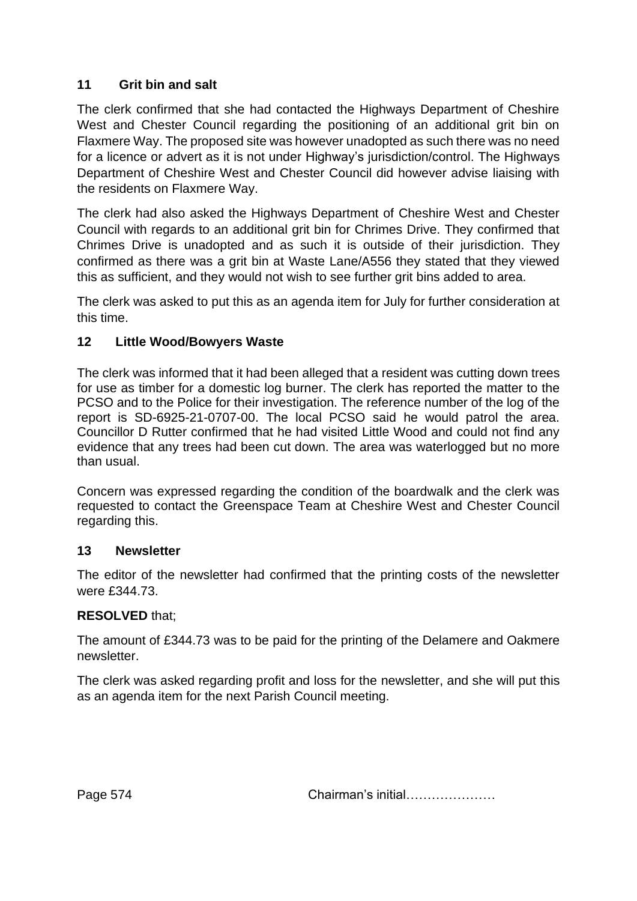## **11 Grit bin and salt**

The clerk confirmed that she had contacted the Highways Department of Cheshire West and Chester Council regarding the positioning of an additional grit bin on Flaxmere Way. The proposed site was however unadopted as such there was no need for a licence or advert as it is not under Highway's jurisdiction/control. The Highways Department of Cheshire West and Chester Council did however advise liaising with the residents on Flaxmere Way.

The clerk had also asked the Highways Department of Cheshire West and Chester Council with regards to an additional grit bin for Chrimes Drive. They confirmed that Chrimes Drive is unadopted and as such it is outside of their jurisdiction. They confirmed as there was a grit bin at Waste Lane/A556 they stated that they viewed this as sufficient, and they would not wish to see further grit bins added to area.

The clerk was asked to put this as an agenda item for July for further consideration at this time.

#### **12 Little Wood/Bowyers Waste**

The clerk was informed that it had been alleged that a resident was cutting down trees for use as timber for a domestic log burner. The clerk has reported the matter to the PCSO and to the Police for their investigation. The reference number of the log of the report is SD-6925-21-0707-00. The local PCSO said he would patrol the area. Councillor D Rutter confirmed that he had visited Little Wood and could not find any evidence that any trees had been cut down. The area was waterlogged but no more than usual.

Concern was expressed regarding the condition of the boardwalk and the clerk was requested to contact the Greenspace Team at Cheshire West and Chester Council regarding this.

#### **13 Newsletter**

The editor of the newsletter had confirmed that the printing costs of the newsletter were £344.73.

#### **RESOLVED** that;

The amount of £344.73 was to be paid for the printing of the Delamere and Oakmere newsletter.

The clerk was asked regarding profit and loss for the newsletter, and she will put this as an agenda item for the next Parish Council meeting.

Page 574 **Chairman's initial………………**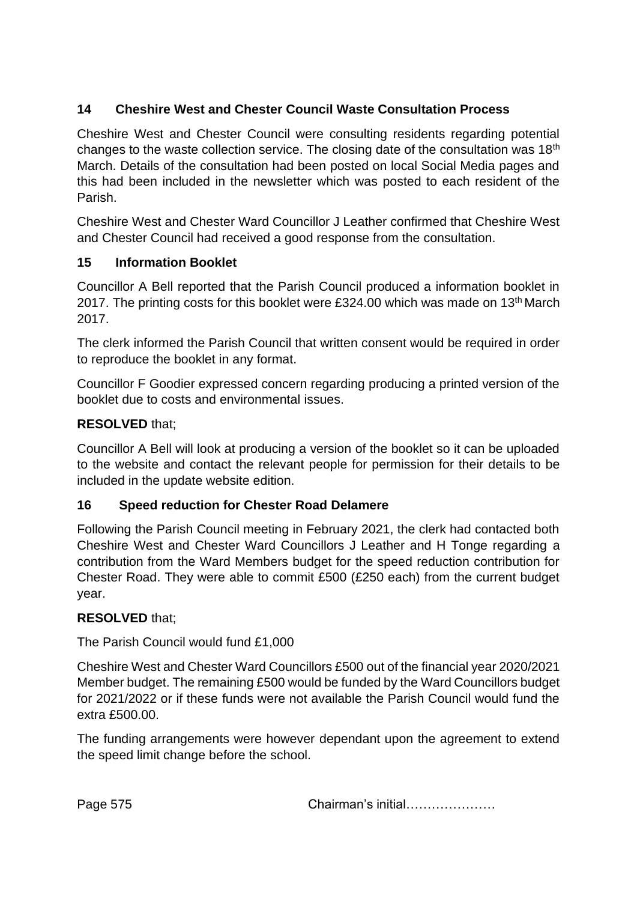# **14 Cheshire West and Chester Council Waste Consultation Process**

Cheshire West and Chester Council were consulting residents regarding potential changes to the waste collection service. The closing date of the consultation was 18th March. Details of the consultation had been posted on local Social Media pages and this had been included in the newsletter which was posted to each resident of the Parish.

Cheshire West and Chester Ward Councillor J Leather confirmed that Cheshire West and Chester Council had received a good response from the consultation.

## **15 Information Booklet**

Councillor A Bell reported that the Parish Council produced a information booklet in 2017. The printing costs for this booklet were £324.00 which was made on 13<sup>th</sup> March 2017.

The clerk informed the Parish Council that written consent would be required in order to reproduce the booklet in any format.

Councillor F Goodier expressed concern regarding producing a printed version of the booklet due to costs and environmental issues.

## **RESOLVED** that;

Councillor A Bell will look at producing a version of the booklet so it can be uploaded to the website and contact the relevant people for permission for their details to be included in the update website edition.

#### **16 Speed reduction for Chester Road Delamere**

Following the Parish Council meeting in February 2021, the clerk had contacted both Cheshire West and Chester Ward Councillors J Leather and H Tonge regarding a contribution from the Ward Members budget for the speed reduction contribution for Chester Road. They were able to commit £500 (£250 each) from the current budget year.

#### **RESOLVED** that;

The Parish Council would fund £1,000

Cheshire West and Chester Ward Councillors £500 out of the financial year 2020/2021 Member budget. The remaining £500 would be funded by the Ward Councillors budget for 2021/2022 or if these funds were not available the Parish Council would fund the extra £500.00.

The funding arrangements were however dependant upon the agreement to extend the speed limit change before the school.

Page 575 **Chairman's initial………………**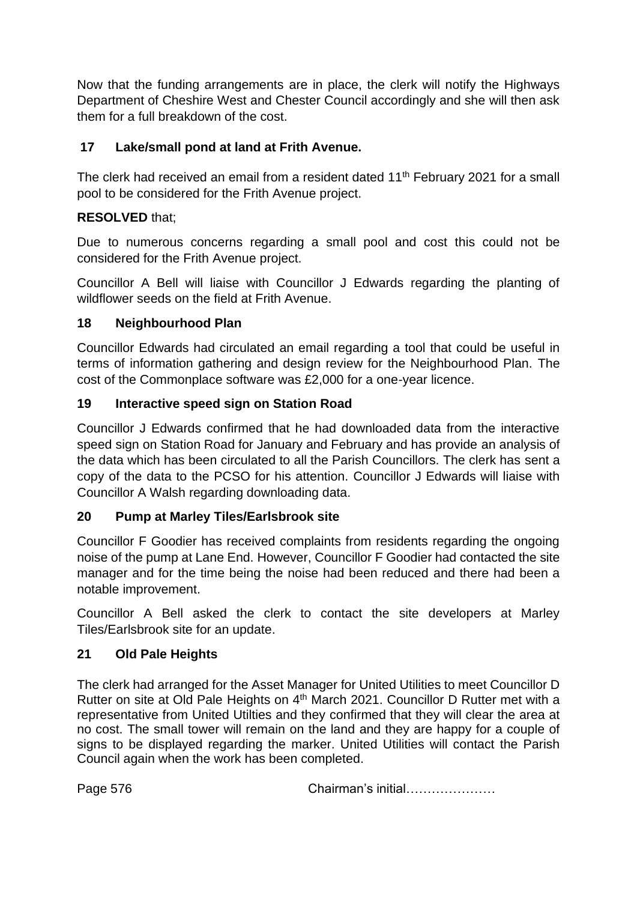Now that the funding arrangements are in place, the clerk will notify the Highways Department of Cheshire West and Chester Council accordingly and she will then ask them for a full breakdown of the cost.

## **17 Lake/small pond at land at Frith Avenue.**

The clerk had received an email from a resident dated 11<sup>th</sup> February 2021 for a small pool to be considered for the Frith Avenue project.

## **RESOLVED** that;

Due to numerous concerns regarding a small pool and cost this could not be considered for the Frith Avenue project.

Councillor A Bell will liaise with Councillor J Edwards regarding the planting of wildflower seeds on the field at Frith Avenue.

#### **18 Neighbourhood Plan**

Councillor Edwards had circulated an email regarding a tool that could be useful in terms of information gathering and design review for the Neighbourhood Plan. The cost of the Commonplace software was £2,000 for a one-year licence.

## **19 Interactive speed sign on Station Road**

Councillor J Edwards confirmed that he had downloaded data from the interactive speed sign on Station Road for January and February and has provide an analysis of the data which has been circulated to all the Parish Councillors. The clerk has sent a copy of the data to the PCSO for his attention. Councillor J Edwards will liaise with Councillor A Walsh regarding downloading data.

#### **20 Pump at Marley Tiles/Earlsbrook site**

Councillor F Goodier has received complaints from residents regarding the ongoing noise of the pump at Lane End. However, Councillor F Goodier had contacted the site manager and for the time being the noise had been reduced and there had been a notable improvement.

Councillor A Bell asked the clerk to contact the site developers at Marley Tiles/Earlsbrook site for an update.

#### **21 Old Pale Heights**

The clerk had arranged for the Asset Manager for United Utilities to meet Councillor D Rutter on site at Old Pale Heights on 4<sup>th</sup> March 2021. Councillor D Rutter met with a representative from United Utilties and they confirmed that they will clear the area at no cost. The small tower will remain on the land and they are happy for a couple of signs to be displayed regarding the marker. United Utilities will contact the Parish Council again when the work has been completed.

Page 576 **Chairman's initial………………**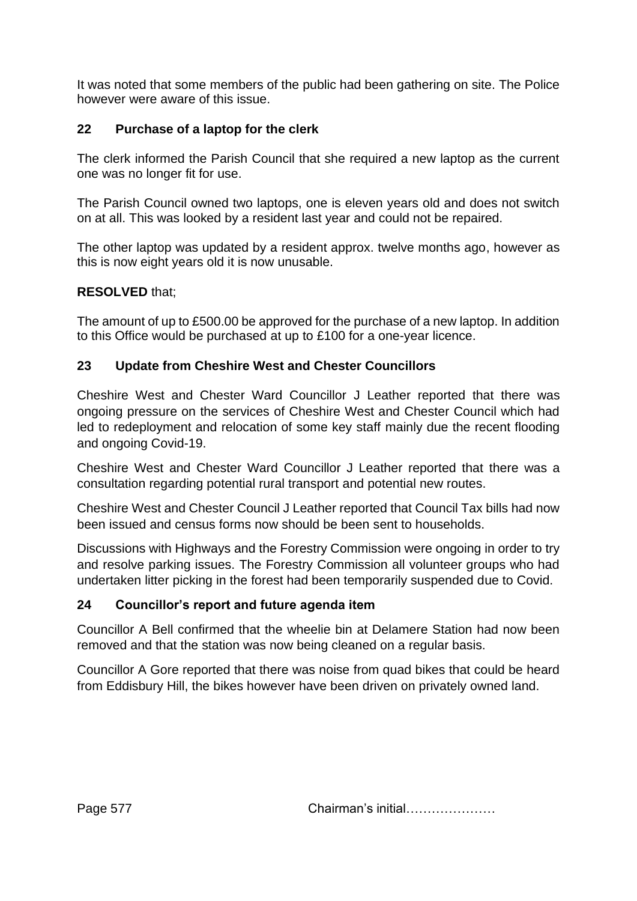It was noted that some members of the public had been gathering on site. The Police however were aware of this issue.

## **22 Purchase of a laptop for the clerk**

The clerk informed the Parish Council that she required a new laptop as the current one was no longer fit for use.

The Parish Council owned two laptops, one is eleven years old and does not switch on at all. This was looked by a resident last year and could not be repaired.

The other laptop was updated by a resident approx. twelve months ago, however as this is now eight years old it is now unusable.

#### **RESOLVED** that;

The amount of up to £500.00 be approved for the purchase of a new laptop. In addition to this Office would be purchased at up to £100 for a one-year licence.

## **23 Update from Cheshire West and Chester Councillors**

Cheshire West and Chester Ward Councillor J Leather reported that there was ongoing pressure on the services of Cheshire West and Chester Council which had led to redeployment and relocation of some key staff mainly due the recent flooding and ongoing Covid-19.

Cheshire West and Chester Ward Councillor J Leather reported that there was a consultation regarding potential rural transport and potential new routes.

Cheshire West and Chester Council J Leather reported that Council Tax bills had now been issued and census forms now should be been sent to households.

Discussions with Highways and the Forestry Commission were ongoing in order to try and resolve parking issues. The Forestry Commission all volunteer groups who had undertaken litter picking in the forest had been temporarily suspended due to Covid.

# **24 Councillor's report and future agenda item**

Councillor A Bell confirmed that the wheelie bin at Delamere Station had now been removed and that the station was now being cleaned on a regular basis.

Councillor A Gore reported that there was noise from quad bikes that could be heard from Eddisbury Hill, the bikes however have been driven on privately owned land.